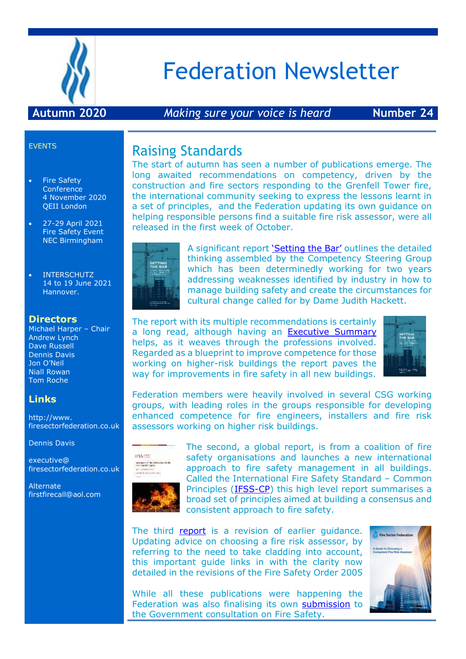

# Federation Newsletter

#### **Autumn 2020** *Making sure your voice is heard* **Number 24**

#### EVENTS

- Fire Safety Conference 4 November 2020 QEII London
- 27-29 April 2021 Fire Safety Event NEC Birmingham
- INTERSCHUTZ 14 to 19 June 2021 Hannover.

#### **Directors**

Michael Harper – Chair Andrew Lynch Dave Russell Dennis Davis Jon O'Neil Niall Rowan Tom Roche

#### **Links**

http://www. firesectorfederation.co.uk

Dennis Davis

executive@ firesectorfederation.co.uk

**Alternate** firstfirecall@aol.com

# Raising Standards

The start of autumn has seen a number of publications emerge. The long awaited recommendations on competency, driven by the construction and fire sectors responding to the Grenfell Tower fire, the international community seeking to express the lessons learnt in a set of principles, and the Federation updating its own guidance on helping responsible persons find a suitable fire risk assessor, were all released in the first week of October.



A significant report ['Setting the Bar'](http://cic.org.uk/news/article.php?s=2020-10-05-competence-requirements-set-out-for-new-role-of-bsm) outlines the detailed thinking assembled by the Competency Steering Group which has been determinedly working for two years addressing weaknesses identified by industry in how to manage building safety and create the circumstances for cultural change called for by Dame Judith Hackett.

The report with its multiple recommendations is certainly a long read, although having an [Executive Summary](https://basecamp.com/2114634/projects/4700659/uploads/49593317?enlarge=417138007#attachment_417138007) helps, as it weaves through the professions involved. Regarded as a blueprint to improve competence for those working on higher-risk buildings the report paves the way for improvements in fire safety in all new buildings.



Federation members were heavily involved in several CSG working groups, with leading roles in the groups responsible for developing enhanced competence for fire engineers, installers and fire risk assessors working on higher risk buildings.



The second, a global report, is from a coalition of fire safety organisations and launches a new international approach to fire safety management in all buildings. Called the International Fire Safety Standard – Common Principles [\(IFSS-CP\)](file:///C:/Users/Owner/AppData/Local/Temp/IFSS-CP%201st%20edition%206th%20October%202020%20(updated).pdf) this high level report summarises a broad set of principles aimed at building a consensus and consistent approach to fire safety.

The third [report](https://basecamp.com/2114634/projects/4700659/uploads/49593342?enlarge=417138481#attachment_417138481) is a revision of earlier quidance. Updating advice on choosing a fire risk assessor, by referring to the need to take cladding into account, this important guide links in with the clarity now detailed in the revisions of the Fire Safety Order 2005



While all these publications were happening the Federation was also finalising its own [submission](https://basecamp.com/2114634/projects/16759564/uploads/49645877?enlarge=417715608#attachment_417715608) to the Government consultation on Fire Safety.